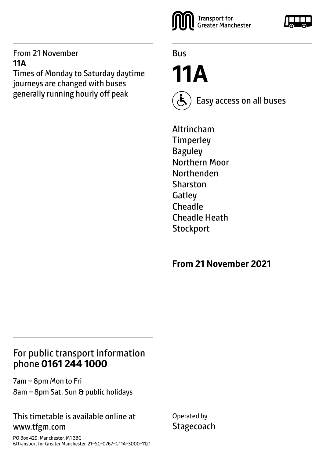#### From 21 November **11A**

Times of Monday to Saturday daytime journeys are changed with buses generally running hourly off peak



Bus

**11A**

Easy access on all buses

Altrincham **Timperley Baguley** Northern Moor Northenden Sharston **Gatley** Cheadle Cheadle Heath **Stockport** 

### **From 21 November 2021**

## For public transport information phone **0161 244 1000**

7am – 8pm Mon to Fri 8am – 8pm Sat, Sun & public holidays

#### This timetable is available online at www.tfgm.com

PO Box 429, Manchester, M1 3BG ©Transport for Greater Manchester 21–SC–0767–G11A–3000–1121 Operated by **Stagecoach**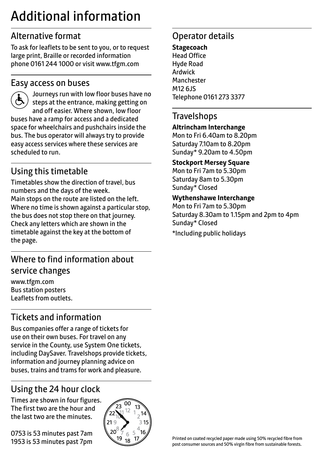## Additional information

## Alternative format

To ask for leaflets to be sent to you, or to request large print, Braille or recorded information phone 0161 244 1000 or visit www.tfgm.com

#### Easy access on buses



 Journeys run with low floor buses have no steps at the entrance, making getting on and off easier. Where shown, low floor buses have a ramp for access and a dedicated space for wheelchairs and pushchairs inside the bus. The bus operator will always try to provide easy access services where these services are scheduled to run.

## Using this timetable

Timetables show the direction of travel, bus numbers and the days of the week. Main stops on the route are listed on the left. Where no time is shown against a particular stop, the bus does not stop there on that journey. Check any letters which are shown in the timetable against the key at the bottom of the page.

## Where to find information about service changes

www.tfgm.com Bus station posters Leaflets from outlets.

## Tickets and information

Bus companies offer a range of tickets for use on their own buses. For travel on any service in the County, use System One tickets, including DaySaver. Travelshops provide tickets, information and journey planning advice on buses, trains and trams for work and pleasure.

## Using the 24 hour clock

Times are shown in four figures. The first two are the hour and the last two are the minutes.

0753 is 53 minutes past 7am 1953 is 53 minutes past 7pm



## Operator details

**Stagecoach** Head Office Hyde Road Ardwick **Manchester** M12 6JS Telephone 0161 273 3377

#### **Travelshops**

#### **Altrincham Interchange**

Mon to Fri 6.40am to 8.20pm Saturday 7.10am to 8.20pm Sunday\* 9.20am to 4.50pm

#### **Stockport Mersey Square**

Mon to Fri 7am to 5.30pm Saturday 8am to 5.30pm Sunday\* Closed

#### **Wythenshawe Interchange**

Mon to Fri 7am to 5.30pm Saturday 8.30am to 1.15pm and 2pm to 4pm Sunday\* Closed

\*Including public holidays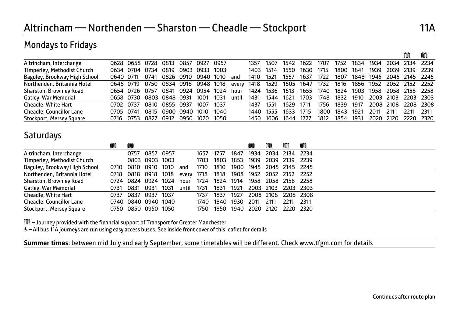#### Mondays to Fridays

|                               |           |                |      |                                    |           |      |      |       |           |                          |      |      |           |      |      |                          |                     | M         | M      |
|-------------------------------|-----------|----------------|------|------------------------------------|-----------|------|------|-------|-----------|--------------------------|------|------|-----------|------|------|--------------------------|---------------------|-----------|--------|
| Altrincham, Interchange       |           |                |      | 0628 0658 0728 0813 0857 0927 0957 |           |      |      |       | 1357      | 1507                     | 1542 | 1622 | 1707      | 1752 | 1834 | 1934                     |                     | 2034 2134 | - 2234 |
| Timperley, Methodist Church   |           |                |      | 0634 0704 0734 0819                | 0903 0933 |      | 1003 |       | 1403 1514 |                          | 1550 | 1630 | 1715      | 1800 | 1841 | 1939                     | 2039 2139           |           | - 2239 |
| Baguley, Brookway High School | 0640 0711 |                | 0741 | 0826 0910 0940 1010                |           |      |      | and   | 1410      | 1521                     | 1557 | 1637 | 1722      | 1807 | 1848 |                          | 1945 2045 2145 2245 |           |        |
| Northenden, Britannia Hotel   | 0648 0719 |                |      | 0750 0834 0918 0948 1018           |           |      |      | every | 1418      | 1529 1605 1647 1732 1816 |      |      |           |      |      | 1856 1952 2052 2152 2252 |                     |           |        |
| Sharston, Brownley Road       |           | 0654 0726 0757 |      | 0841                               | 0924 0954 |      | 1024 | hour  | 1424      | 1536 1613                |      |      | 1655 1740 | 1824 | 1903 |                          | 1958 2058 2158 2258 |           |        |
| Gatley, War Memorial          |           |                |      | 0658 0730 0803 0848 0931           |           | 1001 | 1031 | until | 1431      | 1544                     | 1621 | 1703 | 1748      | 1832 | 1910 |                          | 2003 2103 2203 2303 |           |        |
| Cheadle, White Hart           | 0702      | 0737           | 0810 | 0855 0937                          |           | 1007 | 1037 |       | 1437      | 1551                     | 1629 | 1711 | 1756      | 1839 | 1917 |                          | 2008 2108           | 2208 2308 |        |
| Cheadle, Councillor Lane      | 0705 0741 |                | 0815 | 0900                               | 0940      | 1010 | 1040 |       |           | 1440 1555                | 1633 | 1715 | 1800      | 1843 | 1921 | 2011                     | 2111                | 2211      | - 2311 |
| Stockport, Mersey Square      | 0716      | 0753           | 0827 | 0912                               | 0950      | 1020 | 1050 |       |           | 1450 1606                | 1644 | 1727 | 1812      | 1854 | 1931 | 2020                     | - 2120              | 2220 2320 |        |

#### **Saturdays**

֦

Ī

|                               | M    | M                   |                |      |       |      |      |                          | M              | M                   | M         | M      |
|-------------------------------|------|---------------------|----------------|------|-------|------|------|--------------------------|----------------|---------------------|-----------|--------|
| Altrincham, Interchange       |      | 0757 0857 0957      |                |      |       | 1657 | 1757 | 1847                     | 1934           | 2034 2134 2234      |           |        |
| Timperley, Methodist Church   |      |                     | 0803 0903 1003 |      |       | 1703 | 1803 | 1853                     | 1939           | 2039 2139 2239      |           |        |
| Baguley, Brookway High School | 0710 | 0810 0910 1010      |                |      | and   | 1710 | 1810 | 1900                     |                | 1945 2045 2145 2245 |           |        |
| Northenden, Britannia Hotel   |      | 0718 0818 0918 1018 |                |      | every | 1718 | 1818 | 1908 1952 2052 2152 2252 |                |                     |           |        |
| Sharston, Brownley Road       |      | 0724 0824 0924 1024 |                |      | hour  | 1724 | 1824 | 1914                     |                | 1958 2058 2158 2258 |           |        |
| Gatley, War Memorial          | 0731 | 0831 0931           |                | 1031 | until | 1731 | 1831 | 1921                     |                | 2003 2103 2203 2303 |           |        |
| Cheadle, White Hart           | 0737 | 0837                | 0937           | 1037 |       | 1737 | 1837 | 1927                     |                | 2008 2108           | 2208 2308 |        |
| Cheadle, Councillor Lane      |      | 0740 0840 0940 1040 |                |      |       | 1740 | 1840 | 1930                     | 2011           | - 2111              | 2211      | - 2311 |
| Stockport, Mersey Square      |      | 0750 0850 0950 1050 |                |      |       | 1750 | 1850 |                          | 1940 2020 2120 |                     | 2220 2320 |        |

M – Journey provided with the financial support of Transport for Greater Manchester

W– All bus 11A journeys are run using easy access buses. See inside front cover of this leaflet for details

**Summer times**: between mid July and early September, some timetables will be different. Check www.tfgm.com for details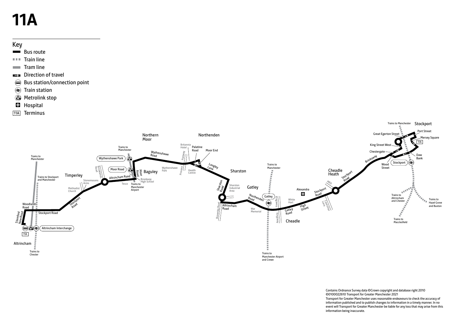# **11A**

#### Key

- $B$ us route
- $I =$ Train line
- **Tram line**
- Direction of travel
- Bus station/connection point
- $\overline{\text{F}}$  Train station
- **Metrolink stop**
- **H** Hospital
- 11A Terminus



Contains Ordnance Survey data ©Crown copyright and database right 2010 ©0100022610 Transport for Greater Manchester 2021 Transport for Greater Manchester uses reasonable endeavours to check the accuracy of information published and to publish changes to information in a timely manner. In no event will Transport for Greater Manchester be liable for any loss that may arise from this information being inaccurate.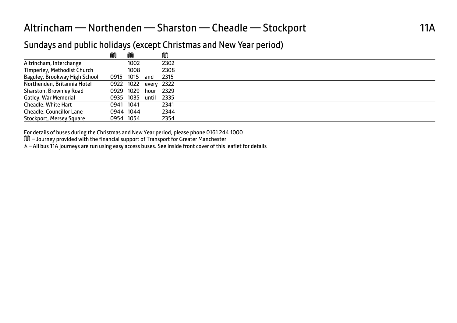#### Altrincham — Northenden — Sharston — Cheadle — Stockport 11A

#### Sundays and public holidays (except Christmas and New Year period)

|                               | M         | M                    |           | M    |  |
|-------------------------------|-----------|----------------------|-----------|------|--|
| Altrincham, Interchange       |           | 1002                 |           | 2302 |  |
| Timperley, Methodist Church   |           | 1008                 |           | 2308 |  |
| Baguley, Brookway High School | 0915      | 1015                 | and       | 2315 |  |
| Northenden, Britannia Hotel   |           | 0922 1022 every 2322 |           |      |  |
| Sharston, Brownley Road       | 0929 1029 |                      | hour 2329 |      |  |
| Gatley, War Memorial          |           | 0935 1035            | until     | 2335 |  |
| Cheadle, White Hart           | 0941 1041 |                      |           | 2341 |  |
| Cheadle, Councillor Lane      |           | 0944 1044            |           | 2344 |  |
| Stockport, Mersey Square      | 0954 1054 |                      |           | 2354 |  |

For details of buses during the Christmas and New Year period, please phone 0161 244 1000<br>M – Journey provided with the financial support of Transport for Greater Manchester

& - All bus 11A journeys are run using easy access buses. See inside front cover of this leaflet for details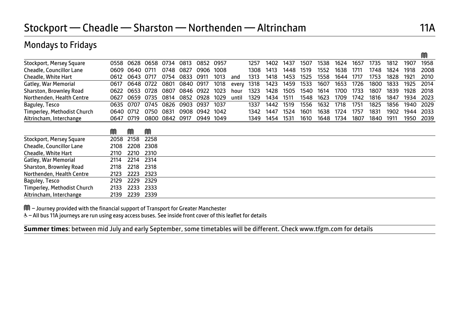#### Mondays to Fridays

|                             |      |      |      |      |      |      |      |       |      |      |      |      |      |      |      |      |      |      | M    |
|-----------------------------|------|------|------|------|------|------|------|-------|------|------|------|------|------|------|------|------|------|------|------|
| Stockport, Mersey Square    | 0558 | 0628 | 0658 | 0734 | 0813 | 0852 | 0957 |       | 1257 | 1402 | 1437 | 1507 | 1538 | 1624 | 1657 | 1735 | 1812 | 1907 | 1958 |
| Cheadle, Councillor Lane    | 0609 | 0640 | 0711 | 0748 | 0827 | 0906 | 1008 |       | 1308 | 1413 | 1448 | 1519 | 1552 | 1638 | 1711 | 1748 | 1824 | 1918 | 2008 |
| Cheadle, White Hart         | 0612 | 0643 | 0717 | 0754 | 0833 | 0911 | 1013 | and   | 1313 | 1418 | 1453 | 1525 | 1558 | 1644 | 1717 | 1753 | 1828 | 1921 | 2010 |
| Gatley, War Memorial        | 0617 | 0648 | 0722 | 0801 | 0840 | 0917 | 1018 | every | 1318 | 1423 | 1459 | 1533 | 1607 | 1653 | 1726 | 1800 | 1833 | 1925 | 2014 |
| Sharston, Brownley Road     | 0622 | 0653 | 0728 | 0807 | 0846 | 0922 | 1023 | hour  | 1323 | 1428 | 1505 | 1540 | 1614 | 1700 | 1733 | 1807 | 1839 | 1928 | 2018 |
| Northenden, Health Centre   | 0627 | 0659 | 0735 | 0814 | 0852 | 0928 | 1029 | until | 1329 | 1434 | 1511 | 1548 | 1623 | 1709 | 1742 | 1816 | 1847 | 1934 | 2023 |
| Baguley, Tesco              | 0635 | 0707 | 0745 | 0826 | 0903 | 0937 | 1037 |       | 1337 | 1442 | 1519 | 1556 | 1632 | 1718 | 1751 | 1825 | 1856 | 1940 | 2029 |
| Timperley, Methodist Church | 0640 | 0712 | 0750 | 0831 | 0908 | 0942 | 1042 |       | 1342 | 1447 | 1524 | 1601 | 1638 | 1724 | 1757 | 1831 | 1902 | 1944 | 2033 |
| Altrincham, Interchange     | 0647 | 0719 | 0800 | 0842 | 0917 | 0949 | 1049 |       | 1349 | 1454 | 1531 | 1610 | 1648 | 1734 | 1807 | 1840 | 1911 | 1950 | 2039 |
|                             |      |      |      |      |      |      |      |       |      |      |      |      |      |      |      |      |      |      |      |
|                             | M    | M    | M    |      |      |      |      |       |      |      |      |      |      |      |      |      |      |      |      |
| Stockport, Mersey Square    | 2058 | 2158 | 2258 |      |      |      |      |       |      |      |      |      |      |      |      |      |      |      |      |
| Cheadle, Councillor Lane    | 2108 | 2208 | 2308 |      |      |      |      |       |      |      |      |      |      |      |      |      |      |      |      |
| Cheadle, White Hart         | 2110 | 2210 | 2310 |      |      |      |      |       |      |      |      |      |      |      |      |      |      |      |      |
| Gatley, War Memorial        | 2114 | 2214 | 2314 |      |      |      |      |       |      |      |      |      |      |      |      |      |      |      |      |
| Sharston, Brownley Road     | 2118 | 2218 | 2318 |      |      |      |      |       |      |      |      |      |      |      |      |      |      |      |      |
| Northenden, Health Centre   | 2123 | 2223 | 2323 |      |      |      |      |       |      |      |      |      |      |      |      |      |      |      |      |
| Baguley, Tesco              | 2129 | 2229 | 2329 |      |      |      |      |       |      |      |      |      |      |      |      |      |      |      |      |
| Timperley, Methodist Church | 2133 | 2233 | 2333 |      |      |      |      |       |      |      |      |      |      |      |      |      |      |      |      |
| Altrincham, Interchange     | 2139 | 2239 | 2339 |      |      |      |      |       |      |      |      |      |      |      |      |      |      |      |      |

M – Journey provided with the financial support of Transport for Greater Manchester

W– All bus 11A journeys are run using easy access buses. See inside front cover of this leaflet for details

֦ **Summer times**: between mid July and early September, some timetables will be different. Check www.tfgm.com for details